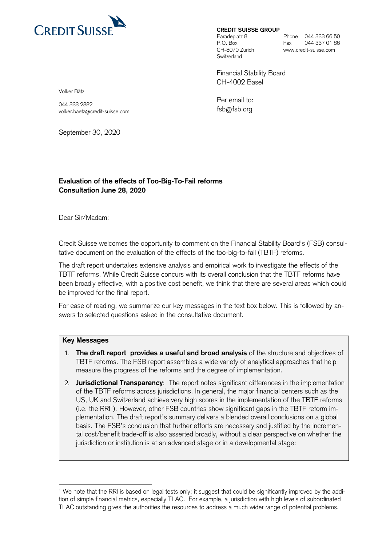

**CREDIT SUISSE GROUP** Paradeplatz 8 Phone 044 333 66 50

P.O. Box Fax 044 337 01 86 CH-8070 Zurich www.credit-suisse.com

Financial Stability Board CH-4002 Basel

Volker Bätz

044 333 2882 volker.baetz@credit-suisse.com

September 30, 2020

Per email to: fsb@fsb.org

Switzerland

#### **Evaluation of the effects of Too-Big-To-Fail reforms Consultation June 28, 2020**

Dear Sir/Madam:

Credit Suisse welcomes the opportunity to comment on the Financial Stability Board's (FSB) consultative document on the evaluation of the effects of the too-big-to-fail (TBTF) reforms.

The draft report undertakes extensive analysis and empirical work to investigate the effects of the TBTF reforms. While Credit Suisse concurs with its overall conclusion that the TBTF reforms have been broadly effective, with a positive cost benefit, we think that there are several areas which could be improved for the final report.

For ease of reading, we summarize our key messages in the text box below. This is followed by answers to selected questions asked in the consultative document.

#### **Key Messages**

- 1. **The draft report provides a useful and broad analysis** of the structure and objectives of TBTF reforms. The FSB report assembles a wide variety of analytical approaches that help measure the progress of the reforms and the degree of implementation.
- 2. **Jurisdictional Transparency**: The report notes significant differences in the implementation of the TBTF reforms across jurisdictions. In general, the major financial centers such as the US, UK and Switzerland achieve very high scores in the implementation of the TBTF reforms (i.e. the RRI<sup>1</sup>). However, other FSB countries show significant gaps in the TBTF reform implementation. The draft report's summary delivers a blended overall conclusions on a global basis. The FSB's conclusion that further efforts are necessary and justified by the incremental cost/benefit trade-off is also asserted broadly, without a clear perspective on whether the jurisdiction or institution is at an advanced stage or in a developmental stage:

<sup>&</sup>lt;sup>1</sup> We note that the RRI is based on legal tests only; it suggest that could be significantly improved by the addition of simple financial metrics, especially TLAC. For example, a jurisdiction with high levels of subordinated TLAC outstanding gives the authorities the resources to address a much wider range of potential problems.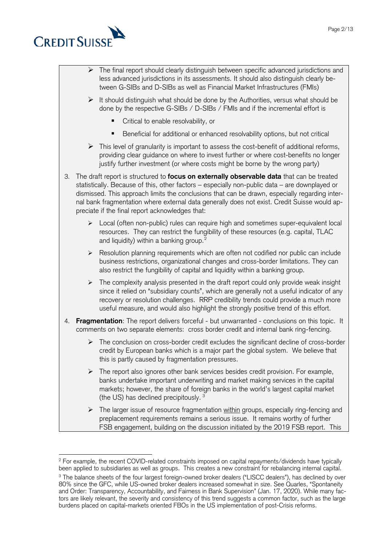



|    |                                                                                                                                                                                                                                                                                                                                                                                                                                                         | $\triangleright$ The final report should clearly distinguish between specific advanced jurisdictions and<br>less advanced jurisdictions in its assessments. It should also distinguish clearly be-<br>tween G-SIBs and D-SIBs as well as Financial Market Infrastructures (FMIs)                                                                                  |  |
|----|---------------------------------------------------------------------------------------------------------------------------------------------------------------------------------------------------------------------------------------------------------------------------------------------------------------------------------------------------------------------------------------------------------------------------------------------------------|-------------------------------------------------------------------------------------------------------------------------------------------------------------------------------------------------------------------------------------------------------------------------------------------------------------------------------------------------------------------|--|
|    | ➤                                                                                                                                                                                                                                                                                                                                                                                                                                                       | It should distinguish what should be done by the Authorities, versus what should be<br>done by the respective G-SIBs / D-SIBs / FMIs and if the incremental effort is                                                                                                                                                                                             |  |
|    |                                                                                                                                                                                                                                                                                                                                                                                                                                                         | Critical to enable resolvability, or<br>п                                                                                                                                                                                                                                                                                                                         |  |
|    |                                                                                                                                                                                                                                                                                                                                                                                                                                                         | Beneficial for additional or enhanced resolvability options, but not critical                                                                                                                                                                                                                                                                                     |  |
|    |                                                                                                                                                                                                                                                                                                                                                                                                                                                         | $\triangleright$ This level of granularity is important to assess the cost-benefit of additional reforms,<br>providing clear guidance on where to invest further or where cost-benefits no longer<br>justify further investment (or where costs might be borne by the wrong party)                                                                                |  |
| 3. | The draft report is structured to <b>focus on externally observable data</b> that can be treated<br>statistically. Because of this, other factors - especially non-public data - are downplayed or<br>dismissed. This approach limits the conclusions that can be drawn, especially regarding inter-<br>nal bank fragmentation where external data generally does not exist. Credit Suisse would ap-<br>preciate if the final report acknowledges that: |                                                                                                                                                                                                                                                                                                                                                                   |  |
|    | $\blacktriangleright$                                                                                                                                                                                                                                                                                                                                                                                                                                   | Local (often non-public) rules can require high and sometimes super-equivalent local<br>resources. They can restrict the fungibility of these resources (e.g. capital, TLAC<br>and liquidity) within a banking group. <sup>2</sup>                                                                                                                                |  |
|    | $\blacktriangleright$                                                                                                                                                                                                                                                                                                                                                                                                                                   | Resolution planning requirements which are often not codified nor public can include<br>business restrictions, organizational changes and cross-border limitations. They can<br>also restrict the fungibility of capital and liquidity within a banking group.                                                                                                    |  |
|    | $\blacktriangleright$                                                                                                                                                                                                                                                                                                                                                                                                                                   | The complexity analysis presented in the draft report could only provide weak insight<br>since it relied on "subsidiary counts", which are generally not a useful indicator of any<br>recovery or resolution challenges. RRP credibility trends could provide a much more<br>useful measure, and would also highlight the strongly positive trend of this effort. |  |
| 4. |                                                                                                                                                                                                                                                                                                                                                                                                                                                         | <b>Fragmentation:</b> The report delivers forceful - but unwarranted - conclusions on this topic. It<br>comments on two separate elements: cross border credit and internal bank ring-fencing.                                                                                                                                                                    |  |
|    |                                                                                                                                                                                                                                                                                                                                                                                                                                                         | $\triangleright$ The conclusion on cross-border credit excludes the significant decline of cross-border<br>credit by European banks which is a major part the global system. We believe that<br>this is partly caused by fragmentation pressures.                                                                                                                 |  |
|    | ➤                                                                                                                                                                                                                                                                                                                                                                                                                                                       | The report also ignores other bank services besides credit provision. For example,<br>banks undertake important underwriting and market making services in the capital<br>markets; however, the share of foreign banks in the world's largest capital market<br>(the US) has declined precipitously. 3                                                            |  |
|    | ➤                                                                                                                                                                                                                                                                                                                                                                                                                                                       | The larger issue of resource fragmentation within groups, especially ring-fencing and<br>preplacement requirements remains a serious issue. It remains worthy of further<br>FSB engagement, building on the discussion initiated by the 2019 FSB report. This                                                                                                     |  |

<sup>&</sup>lt;sup>2</sup> For example, the recent COVID-related constraints imposed on capital repayments/dividends have typically been applied to subsidiaries as well as groups. This creates a new constraint for rebalancing internal capital. <sup>3</sup> The balance sheets of the four largest foreign-owned broker dealers ("LISCC dealers"), has declined by over 80% since the GFC, while US-owned broker dealers increased somewhat in size. See Quarles, "Spontaneity and Order: Transparency, Accountability, and Fairness in Bank Supervision" (Jan. 17, 2020). While many factors are likely relevant, the severity and consistency of this trend suggests a common factor, such as the large burdens placed on capital-markets oriented FBOs in the US implementation of post-Crisis reforms.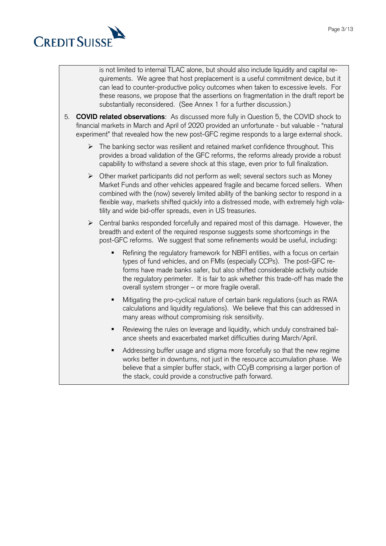

is not limited to internal TLAC alone, but should also include liquidity and capital requirements. We agree that host preplacement is a useful commitment device, but it can lead to counter-productive policy outcomes when taken to excessive levels. For these reasons, we propose that the assertions on fragmentation in the draft report be substantially reconsidered. (See Annex 1 for a further discussion.)

- 5. **COVID related observations**: As discussed more fully in Question 5, the COVID shock to financial markets in March and April of 2020 provided an unfortunate - but valuable - "natural experiment" that revealed how the new post-GFC regime responds to a large external shock.
	- $\triangleright$  The banking sector was resilient and retained market confidence throughout. This provides a broad validation of the GFC reforms, the reforms already provide a robust capability to withstand a severe shock at this stage, even prior to full finalization.
	- $\triangleright$  Other market participants did not perform as well; several sectors such as Money Market Funds and other vehicles appeared fragile and became forced sellers. When combined with the (now) severely limited ability of the banking sector to respond in a flexible way, markets shifted quickly into a distressed mode, with extremely high volatility and wide bid-offer spreads, even in US treasuries.
	- $\triangleright$  Central banks responded forcefully and repaired most of this damage. However, the breadth and extent of the required response suggests some shortcomings in the post-GFC reforms. We suggest that some refinements would be useful, including:
		- Refining the regulatory framework for NBFI entities, with a focus on certain types of fund vehicles, and on FMIs (especially CCPs). The post-GFC reforms have made banks safer, but also shifted considerable activity outside the regulatory perimeter. It is fair to ask whether this trade-off has made the overall system stronger – or more fragile overall.
		- Mitigating the pro-cyclical nature of certain bank regulations (such as RWA calculations and liquidity regulations). We believe that this can addressed in many areas without compromising risk sensitivity.
		- Reviewing the rules on leverage and liquidity, which unduly constrained balance sheets and exacerbated market difficulties during March/April.
		- Addressing buffer usage and stigma more forcefully so that the new regime works better in downturns, not just in the resource accumulation phase. We believe that a simpler buffer stack, with CCyB comprising a larger portion of the stack, could provide a constructive path forward.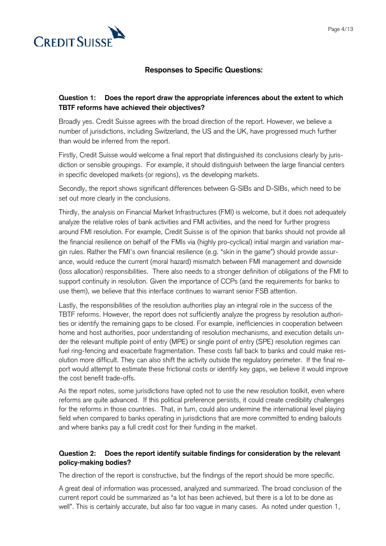

# **Responses to Specific Questions:**

# **Question 1: Does the report draw the appropriate inferences about the extent to which TBTF reforms have achieved their objectives?**

Broadly yes. Credit Suisse agrees with the broad direction of the report. However, we believe a number of jurisdictions, including Switzerland, the US and the UK, have progressed much further than would be inferred from the report.

Firstly, Credit Suisse would welcome a final report that distinguished its conclusions clearly by jurisdiction or sensible groupings. For example, it should distinguish between the large financial centers in specific developed markets (or regions), vs the developing markets.

Secondly, the report shows significant differences between G-SIBs and D-SIBs, which need to be set out more clearly in the conclusions.

Thirdly, the analysis on Financial Market Infrastructures (FMI) is welcome, but it does not adequately analyze the relative roles of bank activities and FMI activities, and the need for further progress around FMI resolution. For example, Credit Suisse is of the opinion that banks should not provide all the financial resilience on behalf of the FMIs via (highly pro-cyclical) initial margin and variation margin rules. Rather the FMI's own financial resilience (e.g. "skin in the game") should provide assurance, would reduce the current (moral hazard) mismatch between FMI management and downside (loss allocation) responsibilities. There also needs to a stronger definition of obligations of the FMI to support continuity in resolution. Given the importance of CCPs (and the requirements for banks to use them), we believe that this interface continues to warrant senior FSB attention.

Lastly, the responsibilities of the resolution authorities play an integral role in the success of the TBTF reforms. However, the report does not sufficiently analyze the progress by resolution authorities or identify the remaining gaps to be closed. For example, inefficiencies in cooperation between home and host authorities, poor understanding of resolution mechanisms, and execution details under the relevant multiple point of entry (MPE) or single point of entry (SPE) resolution regimes can fuel ring-fencing and exacerbate fragmentation. These costs fall back to banks and could make resolution more difficult. They can also shift the activity outside the regulatory perimeter. If the final report would attempt to estimate these frictional costs or identify key gaps, we believe it would improve the cost benefit trade-offs.

As the report notes, some jurisdictions have opted not to use the new resolution toolkit, even where reforms are quite advanced. If this political preference persists, it could create credibility challenges for the reforms in those countries. That, in turn, could also undermine the international level playing field when compared to banks operating in jurisdictions that are more committed to ending bailouts and where banks pay a full credit cost for their funding in the market.

# **Question 2: Does the report identify suitable findings for consideration by the relevant policy-making bodies?**

The direction of the report is constructive, but the findings of the report should be more specific.

A great deal of information was processed, analyzed and summarized. The broad conclusion of the current report could be summarized as "a lot has been achieved, but there is a lot to be done as well". This is certainly accurate, but also far too vague in many cases. As noted under question 1,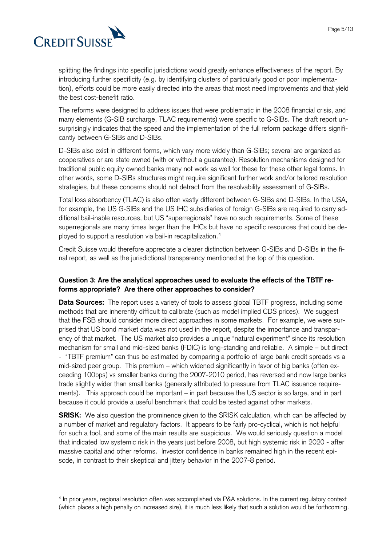

splitting the findings into specific jurisdictions would greatly enhance effectiveness of the report. By introducing further specificity (e.g. by identifying clusters of particularly good or poor implementation), efforts could be more easily directed into the areas that most need improvements and that yield the best cost-benefit ratio.

The reforms were designed to address issues that were problematic in the 2008 financial crisis, and many elements (G-SIB surcharge, TLAC requirements) were specific to G-SIBs. The draft report unsurprisingly indicates that the speed and the implementation of the full reform package differs significantly between G-SIBs and D-SIBs.

D-SIBs also exist in different forms, which vary more widely than G-SIBs; several are organized as cooperatives or are state owned (with or without a guarantee). Resolution mechanisms designed for traditional public equity owned banks many not work as well for these for these other legal forms. In other words, some D-SIBs structures might require significant further work and/or tailored resolution strategies, but these concerns should not detract from the resolvability assessment of G-SIBs.

Total loss absorbency (TLAC) is also often vastly different between G-SIBs and D-SIBs. In the USA, for example, the US G-SIBs and the US IHC subsidiaries of foreign G-SIBs are required to carry additional bail-inable resources, but US "superregionals" have no such requirements. Some of these superregionals are many times larger than the IHCs but have no specific resources that could be deployed to support a resolution via bail-in recapitalization. 4

Credit Suisse would therefore appreciate a clearer distinction between G-SIBs and D-SIBs in the final report, as well as the jurisdictional transparency mentioned at the top of this question.

# **Question 3: Are the analytical approaches used to evaluate the effects of the TBTF reforms appropriate? Are there other approaches to consider?**

**Data Sources:** The report uses a variety of tools to assess global TBTF progress, including some methods that are inherently difficult to calibrate (such as model implied CDS prices). We suggest that the FSB should consider more direct approaches in some markets. For example, we were surprised that US bond market data was not used in the report, despite the importance and transparency of that market. The US market also provides a unique "natural experiment" since its resolution mechanism for small and mid-sized banks (FDIC) is long-standing and reliable. A simple – but direct - "TBTF premium" can thus be estimated by comparing a portfolio of large bank credit spreads vs a mid-sized peer group. This premium – which widened significantly in favor of big banks (often exceeding 100bps) vs smaller banks during the 2007-2010 period, has reversed and now large banks trade slightly wider than small banks (generally attributed to pressure from TLAC issuance requirements). This approach could be important – in part because the US sector is so large, and in part because it could provide a useful benchmark that could be tested against other markets.

**SRISK:** We also question the prominence given to the SRISK calculation, which can be affected by a number of market and regulatory factors. It appears to be fairly pro-cyclical, which is not helpful for such a tool, and some of the main results are suspicious. We would seriously question a model that indicated low systemic risk in the years just before 2008, but high systemic risk in 2020 - after massive capital and other reforms. Investor confidence in banks remained high in the recent episode, in contrast to their skeptical and jittery behavior in the 2007-8 period.

<sup>&</sup>lt;sup>4</sup> In prior years, regional resolution often was accomplished via P&A solutions. In the current regulatory context (which places a high penalty on increased size), it is much less likely that such a solution would be forthcoming.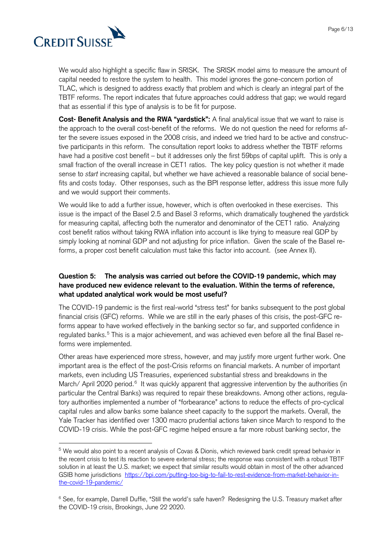

We would also highlight a specific flaw in SRISK. The SRISK model aims to measure the amount of capital needed to restore the system to health. This model ignores the gone-concern portion of TLAC, which is designed to address exactly that problem and which is clearly an integral part of the TBTF reforms. The report indicates that future approaches could address that gap; we would regard that as essential if this type of analysis is to be fit for purpose.

**Cost- Benefit Analysis and the RWA "yardstick":** A final analytical issue that we want to raise is the approach to the overall cost-benefit of the reforms. We do not question the need for reforms after the severe issues exposed in the 2008 crisis, and indeed we tried hard to be active and constructive participants in this reform. The consultation report looks to address whether the TBTF reforms have had a positive cost benefit – but it addresses only the first 59bps of capital uplift. This is only a small fraction of the overall increase in CET1 ratios. The key policy question is not whether it made sense to *start* increasing capital, but whether we have achieved a reasonable balance of social benefits and costs today. Other responses, such as the BPI response letter, address this issue more fully and we would support their comments.

We would like to add a further issue, however, which is often overlooked in these exercises. This issue is the impact of the Basel 2.5 and Basel 3 reforms, which dramatically toughened the yardstick for measuring capital, affecting both the numerator and denominator of the CET1 ratio. Analyzing cost benefit ratios without taking RWA inflation into account is like trying to measure real GDP by simply looking at nominal GDP and not adjusting for price inflation. Given the scale of the Basel reforms, a proper cost benefit calculation must take this factor into account. (see Annex II).

## **Question 5: The analysis was carried out before the COVID-19 pandemic, which may have produced new evidence relevant to the evaluation. Within the terms of reference, what updated analytical work would be most useful?**

The COVID-19 pandemic is the first real-world "stress test" for banks subsequent to the post global financial crisis (GFC) reforms. While we are still in the early phases of this crisis, the post-GFC reforms appear to have worked effectively in the banking sector so far, and supported confidence in regulated banks.<sup>5</sup> This is a major achievement, and was achieved even before all the final Basel reforms were implemented.

Other areas have experienced more stress, however, and may justify more urgent further work. One important area is the effect of the post-Crisis reforms on financial markets. A number of important markets, even including US Treasuries, experienced substantial stress and breakdowns in the March/ April 2020 period.<sup>6</sup> It was quickly apparent that aggressive intervention by the authorities (in particular the Central Banks) was required to repair these breakdowns. Among other actions, regulatory authorities implemented a number of "forbearance" actions to reduce the effects of pro-cyclical capital rules and allow banks some balance sheet capacity to the support the markets. Overall, the Yale Tracker has identified over 1300 macro prudential actions taken since March to respond to the COVID-19 crisis. While the post-GFC regime helped ensure a far more robust banking sector, the

<sup>&</sup>lt;sup>5</sup> We would also point to a recent analysis of Covas & Dionis, which reviewed bank credit spread behavior in the recent crisis to test its reaction to severe external stress; the response was consistent with a robust TBTF solution in at least the U.S. market; we expect that similar results would obtain in most of the other advanced GSIB home jurisdictions https://bpi.com/putting-too-big-to-fail-to-rest-evidence-from-market-behavior-inthe-covid-19-pandemic/

<sup>&</sup>lt;sup>6</sup> See, for example, Darrell Duffie, "Still the world's safe haven? Redesigning the U.S. Treasury market after the COVID-19 crisis, Brookings, June 22 2020.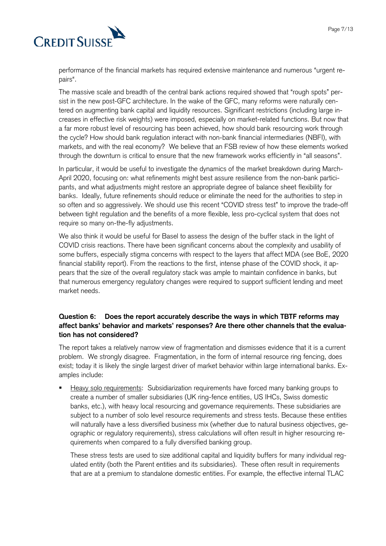

performance of the financial markets has required extensive maintenance and numerous "urgent repairs".

The massive scale and breadth of the central bank actions required showed that "rough spots" persist in the new post-GFC architecture. In the wake of the GFC, many reforms were naturally centered on augmenting bank capital and liquidity resources. Significant restrictions (including large increases in effective risk weights) were imposed, especially on market-related functions. But now that a far more robust level of resourcing has been achieved, how should bank resourcing work through the cycle? How should bank regulation interact with non-bank financial intermediaries (NBFI), with markets, and with the real economy? We believe that an FSB review of how these elements worked through the downturn is critical to ensure that the new framework works efficiently in "all seasons".

In particular, it would be useful to investigate the dynamics of the market breakdown during March-April 2020, focusing on: what refinements might best assure resilience from the non-bank participants, and what adjustments might restore an appropriate degree of balance sheet flexibility for banks. Ideally, future refinements should reduce or eliminate the need for the authorities to step in so often and so aggressively. We should use this recent "COVID stress test" to improve the trade-off between tight regulation and the benefits of a more flexible, less pro-cyclical system that does not require so many on-the-fly adjustments.

We also think it would be useful for Basel to assess the design of the buffer stack in the light of COVID crisis reactions. There have been significant concerns about the complexity and usability of some buffers, especially stigma concerns with respect to the layers that affect MDA (see BoE, 2020 financial stability report). From the reactions to the first, intense phase of the COVID shock, it appears that the size of the overall regulatory stack was ample to maintain confidence in banks, but that numerous emergency regulatory changes were required to support sufficient lending and meet market needs.

#### **Question 6: Does the report accurately describe the ways in which TBTF reforms may affect banks' behavior and markets' responses? Are there other channels that the evaluation has not considered?**

The report takes a relatively narrow view of fragmentation and dismisses evidence that it is a current problem. We strongly disagree. Fragmentation, in the form of internal resource ring fencing, does exist; today it is likely the single largest driver of market behavior within large international banks. Examples include:

 Heavy solo requirements: Subsidiarization requirements have forced many banking groups to create a number of smaller subsidiaries (UK ring-fence entities, US IHCs, Swiss domestic banks, etc.), with heavy local resourcing and governance requirements. These subsidiaries are subject to a number of solo level resource requirements and stress tests. Because these entities will naturally have a less diversified business mix (whether due to natural business objectives, geographic or regulatory requirements), stress calculations will often result in higher resourcing requirements when compared to a fully diversified banking group.

These stress tests are used to size additional capital and liquidity buffers for many individual regulated entity (both the Parent entities and its subsidiaries). These often result in requirements that are at a premium to standalone domestic entities. For example, the effective internal TLAC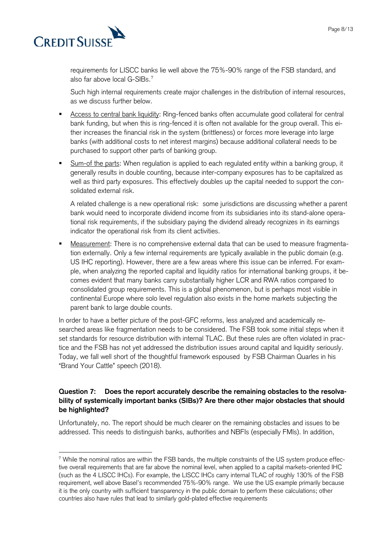

requirements for LISCC banks lie well above the 75%-90% range of the FSB standard, and also far above local G-SIBs.<sup>7</sup>

Such high internal requirements create major challenges in the distribution of internal resources, as we discuss further below.

- **Access to central bank liquidity: Ring-fenced banks often accumulate good collateral for central** bank funding, but when this is ring-fenced it is often not available for the group overall. This either increases the financial risk in the system (brittleness) or forces more leverage into large banks (with additional costs to net interest margins) because additional collateral needs to be purchased to support other parts of banking group.
- Sum-of the parts: When regulation is applied to each regulated entity within a banking group, it generally results in double counting, because inter-company exposures has to be capitalized as well as third party exposures. This effectively doubles up the capital needed to support the consolidated external risk.

A related challenge is a new operational risk: some jurisdictions are discussing whether a parent bank would need to incorporate dividend income from its subsidiaries into its stand-alone operational risk requirements, if the subsidiary paying the dividend already recognizes in its earnings indicator the operational risk from its client activities.

**Measurement:** There is no comprehensive external data that can be used to measure fragmentation externally. Only a few internal requirements are typically available in the public domain (e.g. US IHC reporting). However, there are a few areas where this issue can be inferred. For example, when analyzing the reported capital and liquidity ratios for international banking groups, it becomes evident that many banks carry substantially higher LCR and RWA ratios compared to consolidated group requirements. This is a global phenomenon, but is perhaps most visible in continental Europe where solo level regulation also exists in the home markets subjecting the parent bank to large double counts.

In order to have a better picture of the post-GFC reforms, less analyzed and academically researched areas like fragmentation needs to be considered. The FSB took some initial steps when it set standards for resource distribution with internal TLAC. But these rules are often violated in practice and the FSB has not yet addressed the distribution issues around capital and liquidity seriously. Today, we fall well short of the thoughtful framework espoused by FSB Chairman Quarles in his "Brand Your Cattle" speech (2018).

#### **Question 7: Does the report accurately describe the remaining obstacles to the resolvability of systemically important banks (SIBs)? Are there other major obstacles that should be highlighted?**

Unfortunately, no. The report should be much clearer on the remaining obstacles and issues to be addressed. This needs to distinguish banks, authorities and NBFIs (especially FMIs). In addition,

 <sup>7</sup> While the nominal ratios are within the FSB bands, the multiple constraints of the US system produce effective overall requirements that are far above the nominal level, when applied to a capital markets-oriented IHC (such as the 4 LISCC IHCs). For example, the LISCC IHCs carry internal TLAC of roughly 130% of the FSB requirement, well above Basel's recommended 75%-90% range. We use the US example primarily because it is the only country with sufficient transparency in the public domain to perform these calculations; other countries also have rules that lead to similarly gold-plated effective requirements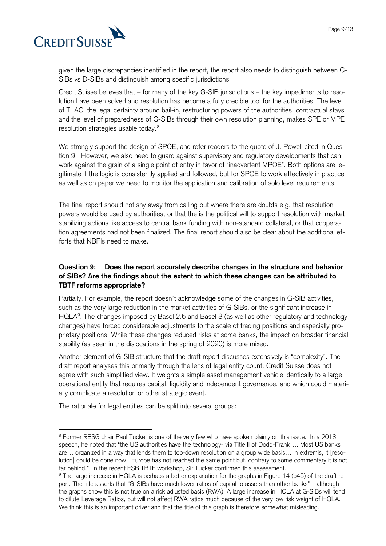

given the large discrepancies identified in the report, the report also needs to distinguish between G-SIBs vs D-SIBs and distinguish among specific jurisdictions.

Credit Suisse believes that – for many of the key G-SIB jurisdictions – the key impediments to resolution have been solved and resolution has become a fully credible tool for the authorities. The level of TLAC, the legal certainty around bail-in, restructuring powers of the authorities, contractual stays and the level of preparedness of G-SIBs through their own resolution planning, makes SPE or MPE resolution strategies usable today.<sup>8</sup>

We strongly support the design of SPOE, and refer readers to the quote of J. Powell cited in Question 9. However, we also need to guard against supervisory and regulatory developments that can work against the grain of a single point of entry in favor of "inadvertent MPOE". Both options are legitimate if the logic is consistently applied and followed, but for SPOE to work effectively in practice as well as on paper we need to monitor the application and calibration of solo level requirements.

The final report should not shy away from calling out where there are doubts e.g. that resolution powers would be used by authorities, or that the is the political will to support resolution with market stabilizing actions like access to central bank funding with non-standard collateral, or that cooperation agreements had not been finalized. The final report should also be clear about the additional efforts that NBFIs need to make.

# **Question 9: Does the report accurately describe changes in the structure and behavior of SIBs? Are the findings about the extent to which these changes can be attributed to TBTF reforms appropriate?**

Partially. For example, the report doesn't acknowledge some of the changes in G-SIB activities, such as the very large reduction in the market activities of G-SIBs, or the significant increase in  $HOLA<sup>9</sup>$ . The changes imposed by Basel 2.5 and Basel 3 (as well as other regulatory and technology changes) have forced considerable adjustments to the scale of trading positions and especially proprietary positions. While these changes reduced risks at some banks, the impact on broader financial stability (as seen in the dislocations in the spring of 2020) is more mixed.

Another element of G-SIB structure that the draft report discusses extensively is "complexity". The draft report analyses this primarily through the lens of legal entity count. Credit Suisse does not agree with such simplified view. It weights a simple asset management vehicle identically to a large operational entity that requires capital, liquidity and independent governance, and which could materially complicate a resolution or other strategic event.

The rationale for legal entities can be split into several groups:

<sup>&</sup>lt;sup>8</sup> Former RESG chair Paul Tucker is one of the very few who have spoken plainly on this issue. In a 2013 speech, he noted that "the US authorities have the technology- via Title II of Dodd-Frank.... Most US banks are… organized in a way that lends them to top-down resolution on a group wide basis… in extremis, it [resolution] could be done now. Europe has not reached the same point but, contrary to some commentary it is not far behind." In the recent FSB TBTF workshop, Sir Tucker confirmed this assessment.

<sup>9</sup> The large increase in HQLA is perhaps a better explanation for the graphs in Figure 14 (p45) of the draft report. The title asserts that "G-SIBs have much lower ratios of capital to assets than other banks" – although the graphs show this is not true on a risk adjusted basis (RWA). A large increase in HQLA at G-SIBs will tend to dilute Leverage Ratios, but will not affect RWA ratios much because of the very low risk weight of HQLA. We think this is an important driver and that the title of this graph is therefore somewhat misleading.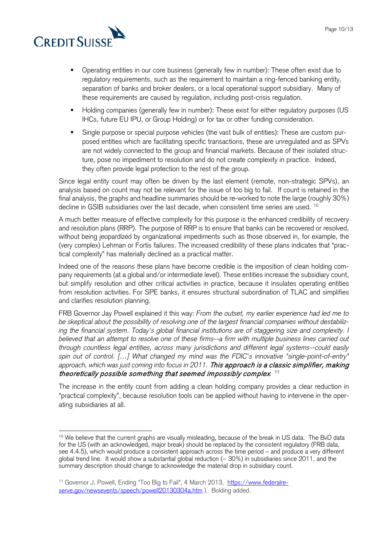

- Operating entities in our core business (generally few in number): These often exist due to regulatory requirements, such as the requirement to maintain a ring-fenced banking entity, separation of banks and broker dealers, or a local operational support subsidiary. Many of these requirements are caused by regulation, including post-crisis regulation.
- Holding companies (generally few in number): These exist for either regulatory purposes (US IHCs, future EU IPU, or Group Holding) or for tax or other funding consideration.
- Single purpose or special purpose vehicles (the vast bulk of entities): These are custom purposed entities which are facilitating specific transactions, these are unregulated and as SPVs are not widely connected to the group and financial markets. Because of their isolated structure, pose no impediment to resolution and do not create complexity in practice. Indeed, they often provide legal protection to the rest of the group.

Since legal entity count may often be driven by the last element (remote, non-strategic SPVs), an analysis based on count may not be relevant for the issue of too big to fail. If count is retained in the final analysis, the graphs and headline summaries should be re-worked to note the large (roughly 30%) decline in GSIB subsidiaries over the last decade, when consistent time series are used. <sup>10</sup>

A much better measure of effective complexity for this purpose is the enhanced credibility of recovery and resolution plans (RRP). The purpose of RRP is to ensure that banks can be recovered or resolved, without being jeopardized by organizational impediments such as those observed in, for example, the (very complex) Lehman or Fortis failures. The increased credibility of these plans indicates that "practical complexity" has materially declined as a practical matter.

Indeed one of the reasons these plans have become credible is the imposition of clean holding company requirements (at a global and/or intermediate level). These entities increase the subsidiary count, but simplify resolution and other critical activities in practice, because it insulates operating entities from resolution activities. For SPE banks, it ensures structural subordination of TLAC and simplifies and clarifies resolution planning.

FRB Governor Jay Powell explained it this way: From the outset, my earlier experience had led me to be skeptical about the possibility of resolving one of the largest financial companies without destabilizing the financial system. Today's global financial institutions are of staggering size and complexity. I believed that an attempt to resolve one of these firms--a firm with multiple business lines carried out through countless legal entities, across many jurisdictions and different legal systems--could easily spin out of control. […] What changed my mind was the FDIC's innovative "single-point-of-entry" approach, which was just coming into focus in 2011. This approach is a classic simplifier, making theoretically possible something that seemed impossibly complex. *<sup>11</sup>*

The increase in the entity count from adding a clean holding company provides a clear reduction in "practical complexity", because resolution tools can be applied without having to intervene in the operating subsidiaries at all.

<sup>&</sup>lt;sup>10</sup> We believe that the current graphs are visually misleading, because of the break in US data. The BvD data for the US (with an acknowledged, major break) should be replaced by the consistent regulatory (FRB data, see 4.4.5), which would produce a consistent approach across the time period – and produce a very different global trend line. It would show a substantial global reduction (~ 30%) in subsidiaries since 2011, and the summary description should change to acknowledge the material drop in subsidiary count.

<sup>&</sup>lt;sup>11</sup> Governor J. Powell, Ending "Too Big to Fail", 4 March 2013, https://www.federalreserve.gov/newsevents/speech/powell20130304a.htm ). Bolding added.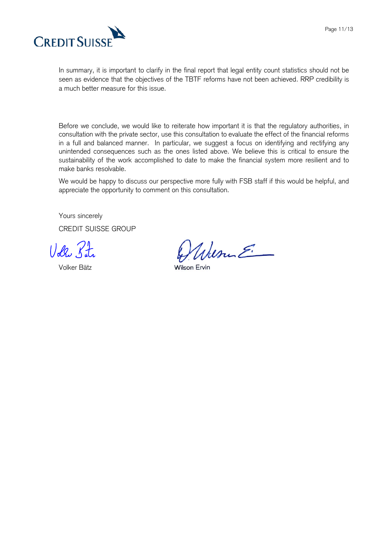

In summary, it is important to clarify in the final report that legal entity count statistics should not be seen as evidence that the objectives of the TBTF reforms have not been achieved. RRP credibility is a much better measure for this issue.

Before we conclude, we would like to reiterate how important it is that the regulatory authorities, in consultation with the private sector, use this consultation to evaluate the effect of the financial reforms in a full and balanced manner. In particular, we suggest a focus on identifying and rectifying any unintended consequences such as the ones listed above. We believe this is critical to ensure the sustainability of the work accomplished to date to make the financial system more resilient and to make banks resolvable.

We would be happy to discuss our perspective more fully with FSB staff if this would be helpful, and appreciate the opportunity to comment on this consultation.

Yours sincerely

CREDIT SUISSE GROUP

Volle Sati

When E.

Volker Bätz<br>
Wilson Ervin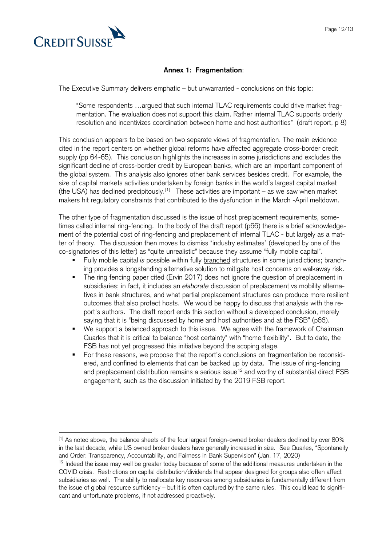

# **Annex 1: Fragmentation**:

The Executive Summary delivers emphatic – but unwarranted - conclusions on this topic:

"Some respondents …argued that such internal TLAC requirements could drive market fragmentation. The evaluation does not support this claim. Rather internal TLAC supports orderly resolution and incentivizes coordination between home and host authorities" (draft report, p 8)

This conclusion appears to be based on two separate views of fragmentation. The main evidence cited in the report centers on whether global reforms have affected aggregate cross-border credit supply (pp 64-65). This conclusion highlights the increases in some jurisdictions and excludes the significant decline of cross-border credit by European banks, which are an important component of the global system. This analysis also ignores other bank services besides credit. For example, the size of capital markets activities undertaken by foreign banks in the world's largest capital market (the USA) has declined precipitously.<sup>[1]</sup> These activities are important – as we saw when market makers hit regulatory constraints that contributed to the dysfunction in the March -April meltdown.

The other type of fragmentation discussed is the issue of host preplacement requirements, sometimes called internal ring-fencing. In the body of the draft report (p66) there is a brief acknowledgement of the potential cost of ring-fencing and preplacement of internal TLAC - but largely as a matter of theory. The discussion then moves to dismiss "industry estimates" (developed by one of the co-signatories of this letter) as "quite unrealistic" because they assume "fully mobile capital".

- Fully mobile capital is possible within fully branched structures in some jurisdictions; branching provides a longstanding alternative solution to mitigate host concerns on walkaway risk.
- The ring fencing paper cited (Ervin 2017) does not ignore the question of preplacement in subsidiaries; in fact, it includes an elaborate discussion of preplacement vs mobility alternatives in bank structures, and what partial preplacement structures can produce more resilient outcomes that also protect hosts. We would be happy to discuss that analysis with the report's authors. The draft report ends this section without a developed conclusion, merely saying that it is "being discussed by home and host authorities and at the FSB" (p66).
- We support a balanced approach to this issue. We agree with the framework of Chairman Quarles that it is critical to balance "host certainty" with "home flexibility". But to date, the FSB has not yet progressed this initiative beyond the scoping stage.
- For these reasons, we propose that the report's conclusions on fragmentation be reconsidered, and confined to elements that can be backed up by data. The issue of ring-fencing and preplacement distribution remains a serious issue<sup>12</sup> and worthy of substantial direct  $\bar{\mathsf{FSB}}$ engagement, such as the discussion initiated by the 2019 FSB report.

<sup>[1]</sup> As noted above, the balance sheets of the four largest foreign-owned broker dealers declined by over 80% in the last decade, while US owned broker dealers have generally increased in size. See Quarles, "Spontaneity and Order: Transparency, Accountability, and Fairness in Bank Supervision" (Jan. 17, 2020)

 $12$  Indeed the issue may well be greater today because of some of the additional measures undertaken in the COVID crisis. Restrictions on capital distribution/dividends that appear designed for groups also often affect subsidiaries as well. The ability to reallocate key resources among subsidiaries is fundamentally different from the issue of global resource sufficiency – but it is often captured by the same rules. This could lead to significant and unfortunate problems, if not addressed proactively.